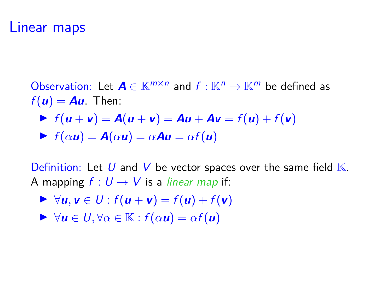#### Linear maps

Observation: Let  $A \in \mathbb{K}^{m \times n}$  and  $f : \mathbb{K}^n \to \mathbb{K}^m$  be defined as  $f(\mathbf{u}) = \mathbf{A}\mathbf{u}$ . Then:

$$
\blacktriangleright f(\boldsymbol{u} + \boldsymbol{v}) = \boldsymbol{A}(\boldsymbol{u} + \boldsymbol{v}) = \boldsymbol{A}\boldsymbol{u} + \boldsymbol{A}\boldsymbol{v} = f(\boldsymbol{u}) + f(\boldsymbol{v})
$$

$$
\blacktriangleright f(\alpha \mathbf{u}) = \mathbf{A}(\alpha \mathbf{u}) = \alpha \mathbf{A} \mathbf{u} = \alpha f(\mathbf{u})
$$

Definition: Let U and V be vector spaces over the same field  $K$ . A mapping  $f: U \rightarrow V$  is a *linear map* if:

- $\triangleright$  ∀**u**, **v** ∈ U :  $f(\mathbf{u} + \mathbf{v}) = f(\mathbf{u}) + f(\mathbf{v})$
- $\forall u \in U, \forall \alpha \in \mathbb{K} : f(\alpha u) = \alpha f(u)$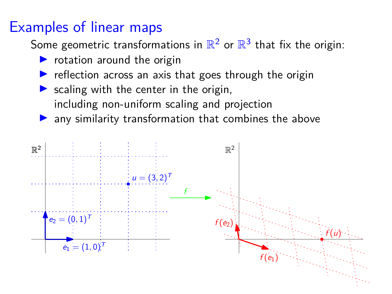# Examples of linear maps

Some geometric transformations in  $\mathbb{R}^2$  or  $\mathbb{R}^3$  that fix the origin:

- $\triangleright$  rotation around the origin
- reflection across an axis that goes through the origin
- $\triangleright$  scaling with the center in the origin, including non-uniform scaling and projection
- $\blacktriangleright$  any similarity transformation that combines the above

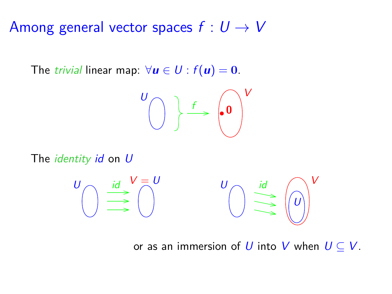Among general vector spaces  $f: U \rightarrow V$ 

The *trivial* linear map:  $\forall u \in U : f(u) = 0$ .

$$
\begin{pmatrix} 0 \\ 0 \end{pmatrix} \xrightarrow{f} \begin{pmatrix} 0 \\ 0 \end{pmatrix} V
$$

The *identity*  $id$  on  $U$ 

$$
U \longrightarrow U = U
$$
  

$$
U \longrightarrow U
$$
  

$$
U \longrightarrow U
$$
  

$$
U \longrightarrow U
$$
  

$$
U \longrightarrow U
$$
  

$$
U \longrightarrow U
$$
  

$$
U \longrightarrow U
$$

or as an immersion of U into V when  $U \subset V$ .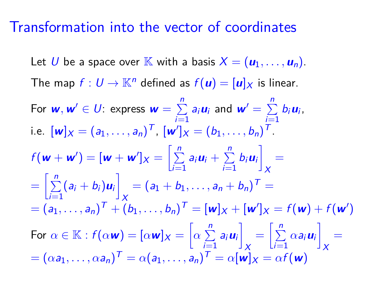#### Transformation into the vector of coordinates

Let U be a space over  $\mathbb{K}$  with a basis  $X = (\mathbf{u}_1, \dots, \mathbf{u}_n)$ . The map  $f: U \to \mathbb{K}^n$  defined as  $f(u) = [u]_X$  is linear.

For  $w, w' \in U$ : express  $w = \sum^{n}$  $\sum_{i=1}^n a_i u_i$  and  $w' = \sum_{i=1}^n a_i$  $\sum_{i=1}^{\infty} b_i \mathbf{u}_i$ i.e.  $[w]_X = (a_1, \ldots, a_n)^T$ ,  $[w']_X = (b_1, \ldots, b_n)^T$ .  $f(\mathbf{w} + \mathbf{w}') = [\mathbf{w} + \mathbf{w}']_X = \left[\sum_{i=1}^{n} \right]$  $\sum_{i=1}^n a_i u_i + \sum_{i=1}^n$  $\sum_{i=1}^n b_i u_i$ X =  $=\left[\sum_{i=1}^{n}(a_{i}+b_{i})\mathbf{u}_{i}\right] = (a_{1}+b_{1},\ldots,a_{n}+b_{n})^{T} =$  $i=1$   $\qquad \qquad \Box X$  $=(a_1, \ldots, a_n)^T + (b_1, \ldots, b_n)^T = [\mathbf{w}]_X + [\mathbf{w}']_X = f(\mathbf{w}) + f(\mathbf{w}')$ For  $\alpha \in \mathbb{K}$  :  $f(\alpha \mathbf{w}) = [\alpha \mathbf{w}]_X = \left[\alpha \sum\limits_{i=1}^{n} \alpha_i\right]$  $\sum_{i=1}^n a_i u_i\bigg]_X = \bigg[\sum_{i=1}^n$ X  $\sum_{i=1}^n \alpha a_i u_i$ X =  $\boldsymbol{\alpha} = (\alpha \boldsymbol{a}_1, \dots, \alpha \boldsymbol{a}_n)^T = \alpha (\boldsymbol{a}_1, \dots, \boldsymbol{a}_n)^T = \alpha [\boldsymbol{w}]_X = \alpha f(\boldsymbol{w})$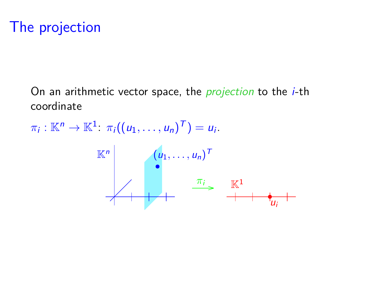# The projection

On an arithmetic vector space, the *projection* to the *i*-th coordinate

 $\pi_i : \mathbb{K}^n \to \mathbb{K}^1$ :  $\pi_i((u_1, \ldots, u_n)^T) = u_i$ .

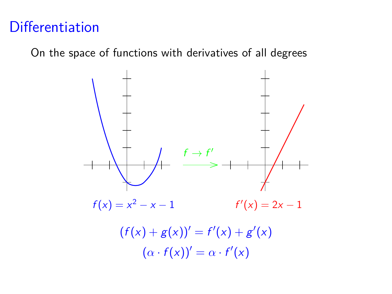# **Differentiation**

On the space of functions with derivatives of all degrees

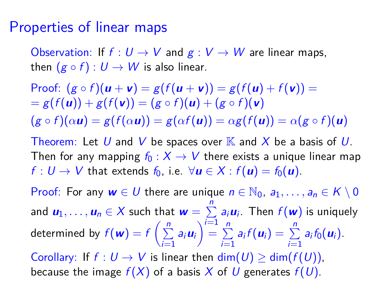#### Properties of linear maps

Observation: If  $f: U \to V$  and  $g: V \to W$  are linear maps, then  $(g \circ f) : U \to W$  is also linear.

Proof:  $(g \circ f)(u + v) = g(f(u + v)) = g(f(u) + f(v)) =$  $= g(f(u)) + g(f(v)) = (g \circ f)(u) + (g \circ f)(v)$  $(g \circ f)(\alpha \mathbf{u}) = g(f(\alpha \mathbf{u})) = g(\alpha f(\mathbf{u})) = \alpha g(f(\mathbf{u})) = \alpha(g \circ f)(\mathbf{u})$ 

Theorem: Let U and V be spaces over  $K$  and X be a basis of U. Then for any mapping  $f_0 : X \to V$  there exists a unique linear map  $f: U \to V$  that extends  $f_0$ , i.e.  $\forall u \in X : f(u) = f_0(u)$ .

Proof: For any  $w \in U$  there are unique  $n \in \mathbb{N}_0$ ,  $a_1, \ldots, a_n \in K \setminus 0$ and  $\bm{u}_1,\ldots,\bm{u}_n\in X$  such that  $\bm{w}=\sum\limits_{i=1}^n a_i\bm{u}_i.$  Then  $f(\bm{w})$  is uniquely  $i=1$ determined by  $f({\bm{w}}) = f\left(\frac{n}{\sum_{i=1}^{n}{\bm{w}}}\right)$  $\sum_{i=1}^{n} a_i u_i$  =  $\sum_{i=1}^{n}$  $\sum_{i=1}^{n} a_i f(\bm{u}_i) = \sum_{i=1}^{n} a_i f_0(\bm{u}_i).$ Corollary: If  $f: U \to V$  is linear then  $\dim(U) \geq \dim(f(U))$ , because the image  $f(X)$  of a basis X of U generates  $f(U)$ .